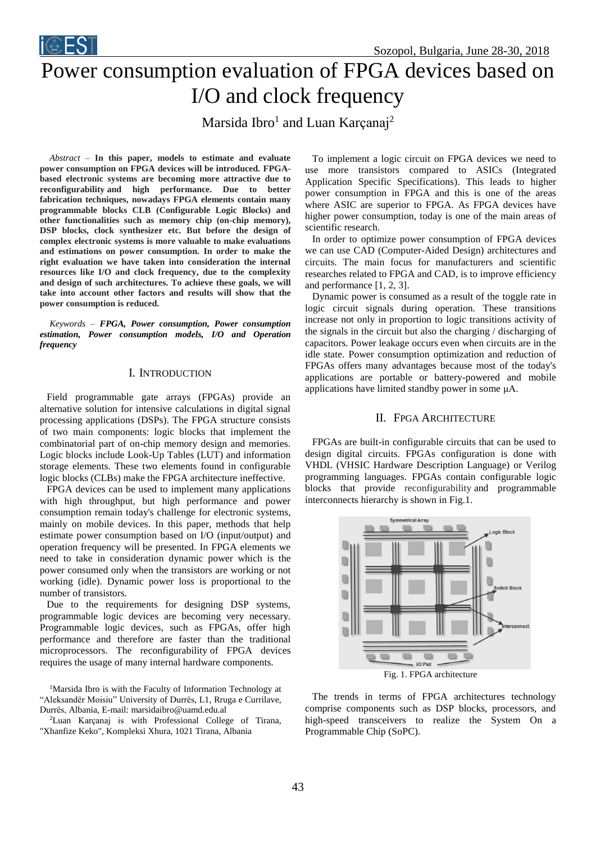

# Power consumption evaluation of FPGA devices based on I/O and clock frequency

Marsida Ibro<sup>1</sup> and Luan Karçanaj<sup>2</sup>

*Abstract –* **In this paper, models to estimate and evaluate power consumption on FPGA devices will be introduced. FPGAbased electronic systems are becoming more attractive due to reconfigurability and high performance. Due to better fabrication techniques, nowadays FPGA elements contain many programmable blocks CLB (Configurable Logic Blocks) and other functionalities such as memory chip (on-chip memory), DSP blocks, clock synthesizer etc. But before the design of complex electronic systems is more valuable to make evaluations and estimations on power consumption. In order to make the right evaluation we have taken into consideration the internal resources like I/O and clock frequency, due to the complexity and design of such architectures. To achieve these goals, we will take into account other factors and results will show that the power consumption is reduced.**

*Keywords – FPGA, Power consumption, Power consumption estimation, Power consumption models, I/O and Operation frequency*

#### I. INTRODUCTION

Field programmable gate arrays (FPGAs) provide an alternative solution for intensive calculations in digital signal processing applications (DSPs). The FPGA structure consists of two main components: logic blocks that implement the combinatorial part of on-chip memory design and memories. Logic blocks include Look-Up Tables (LUT) and information storage elements. These two elements found in configurable logic blocks (CLBs) make the FPGA architecture ineffective.

FPGA devices can be used to implement many applications with high throughput, but high performance and power consumption remain today's challenge for electronic systems, mainly on mobile devices. In this paper, methods that help estimate power consumption based on I/O (input/output) and operation frequency will be presented. In FPGA elements we need to take in consideration dynamic power which is the power consumed only when the transistors are working or not working (idle). Dynamic power loss is proportional to the number of transistors.

Due to the requirements for designing DSP systems, programmable logic devices are becoming very necessary. Programmable logic devices, such as FPGAs, offer high performance and therefore are faster than the traditional microprocessors. The reconfigurability of FPGA devices requires the usage of many internal hardware components.

<sup>1</sup>Marsida Ibro is with the Faculty of Information Technology at "Aleksandër Moisiu" University of Durrës, L1, Rruga e Currilave, Durrës, Albania, E-mail: marsidaibro@uamd.edu.al

<sup>2</sup>Luan Karçanaj is with Professional College of Tirana, "Xhanfize Keko", Kompleksi Xhura, 1021 Tirana, Albania

To implement a logic circuit on FPGA devices we need to use more transistors compared to ASICs (Integrated Application Specific Specifications). This leads to higher power consumption in FPGA and this is one of the areas where ASIC are superior to FPGA. As FPGA devices have higher power consumption, today is one of the main areas of scientific research.

In order to optimize power consumption of FPGA devices we can use CAD (Computer-Aided Design) architectures and circuits. The main focus for manufacturers and scientific researches related to FPGA and CAD, is to improve efficiency and performance [1, 2, 3].

Dynamic power is consumed as a result of the toggle rate in logic circuit signals during operation. These transitions increase not only in proportion to logic transitions activity of the signals in the circuit but also the charging / discharging of capacitors. Power leakage occurs even when circuits are in the idle state. Power consumption optimization and reduction of FPGAs offers many advantages because most of the today's applications are portable or battery-powered and mobile applications have limited standby power in some μA.

#### II. FPGA ARCHITECTURE

FPGAs are built-in configurable circuits that can be used to design digital circuits. FPGAs configuration is done with VHDL (VHSIC Hardware Description Language) or Verilog programming languages. FPGAs contain configurable logic blocks that provide reconfigurability and programmable interconnects hierarchy is shown in Fig.1.



The trends in terms of FPGA architectures technology comprise components such as DSP blocks, processors, and high-speed transceivers to realize the System On a Programmable Chip (SoPC).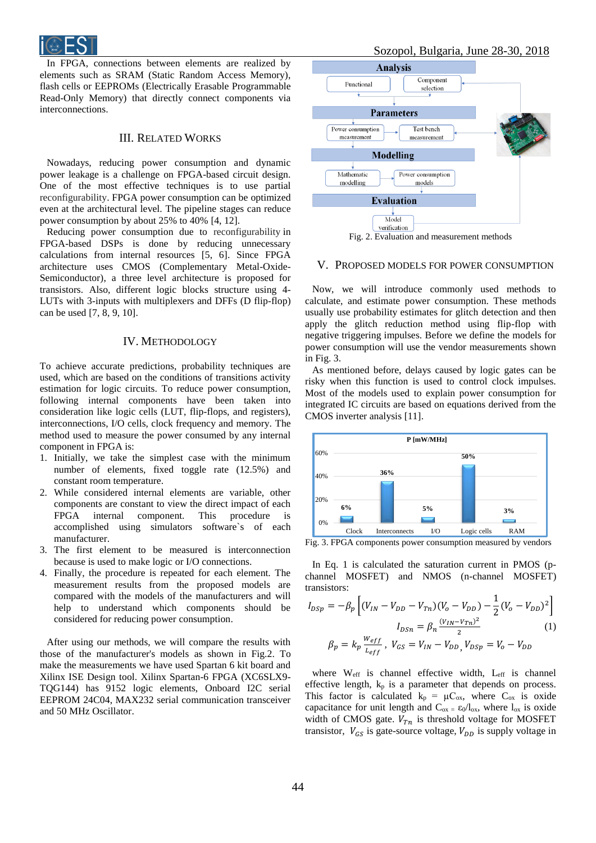

In FPGA, connections between elements are realized by elements such as SRAM (Static Random Access Memory), flash cells or EEPROMs (Electrically Erasable Programmable Read-Only Memory) that directly connect components via interconnections.

## III. RELATED WORKS

Nowadays, reducing power consumption and dynamic power leakage is a challenge on FPGA-based circuit design. One of the most effective techniques is to use partial reconfigurability. FPGA power consumption can be optimized even at the architectural level. The pipeline stages can reduce power consumption by about 25% to 40% [4, 12].

Reducing power consumption due to reconfigurability in FPGA-based DSPs is done by reducing unnecessary calculations from internal resources [5, 6]. Since FPGA architecture uses CMOS (Complementary Metal-Oxide-Semiconductor), a three level architecture is proposed for transistors. Also, different logic blocks structure using 4- LUTs with 3-inputs with multiplexers and DFFs (D flip-flop) can be used [7, 8, 9, 10].

#### IV. METHODOLOGY

To achieve accurate predictions, probability techniques are used, which are based on the conditions of transitions activity estimation for logic circuits. To reduce power consumption, following internal components have been taken into consideration like logic cells (LUT, flip-flops, and registers), interconnections, I/O cells, clock frequency and memory. The method used to measure the power consumed by any internal component in FPGA is:

- 1. Initially, we take the simplest case with the minimum number of elements, fixed toggle rate (12.5%) and constant room temperature.
- 2. While considered internal elements are variable, other components are constant to view the direct impact of each FPGA internal component. This procedure is accomplished using simulators software`s of each manufacturer.
- 3. The first element to be measured is interconnection because is used to make logic or I/O connections.
- 4. Finally, the procedure is repeated for each element. The measurement results from the proposed models are compared with the models of the manufacturers and will help to understand which components should be considered for reducing power consumption.

After using our methods, we will compare the results with those of the manufacturer's models as shown in Fig.2. To make the measurements we have used Spartan 6 kit board and Xilinx ISE Design tool. Xilinx Spartan-6 FPGA (XC6SLX9- TQG144) has 9152 logic elements, Onboard I2C serial EEPROM 24C04, MAX232 serial communication transceiver and 50 MHz Oscillator.





# V. PROPOSED MODELS FOR POWER CONSUMPTION

Now, we will introduce commonly used methods to calculate, and estimate power consumption. These methods usually use probability estimates for glitch detection and then apply the glitch reduction method using flip-flop with negative triggering impulses. Before we define the models for power consumption will use the vendor measurements shown in Fig. 3.

As mentioned before, delays caused by logic gates can be risky when this function is used to control clock impulses. Most of the models used to explain power consumption for integrated IC circuits are based on equations derived from the CMOS inverter analysis [11].



Fig. 3. FPGA components power consumption measured by vendors

In Eq. 1 is calculated the saturation current in PMOS (pchannel MOSFET) and NMOS (n-channel MOSFET) transistors:

$$
I_{DSp} = -\beta_p \left[ (V_{IN} - V_{DD} - V_{Tn})(V_o - V_{DD}) - \frac{1}{2}(V_o - V_{DD})^2 \right]
$$
  

$$
I_{DSn} = \beta_n \frac{(v_{IN} - v_{Tn})^2}{2} \tag{1}
$$
  

$$
\beta_p = k_p \frac{w_{eff}}{L_{eff}}, \quad V_{GS} = V_{IN} - V_{DD}, \quad V_{DSp} = V_o - V_{DD}
$$

where Weff is channel effective width, Leff is channel effective length,  $k_p$  is a parameter that depends on process. This factor is calculated  $k_p = \mu C_{ox}$ , where  $C_{ox}$  is oxide capacitance for unit length and  $C_{ox} = \epsilon_0 / l_{ox}$ , where  $l_{ox}$  is oxide width of CMOS gate.  $V_{Tn}$  is threshold voltage for MOSFET transistor,  $V_{GS}$  is gate-source voltage,  $V_{DD}$  is supply voltage in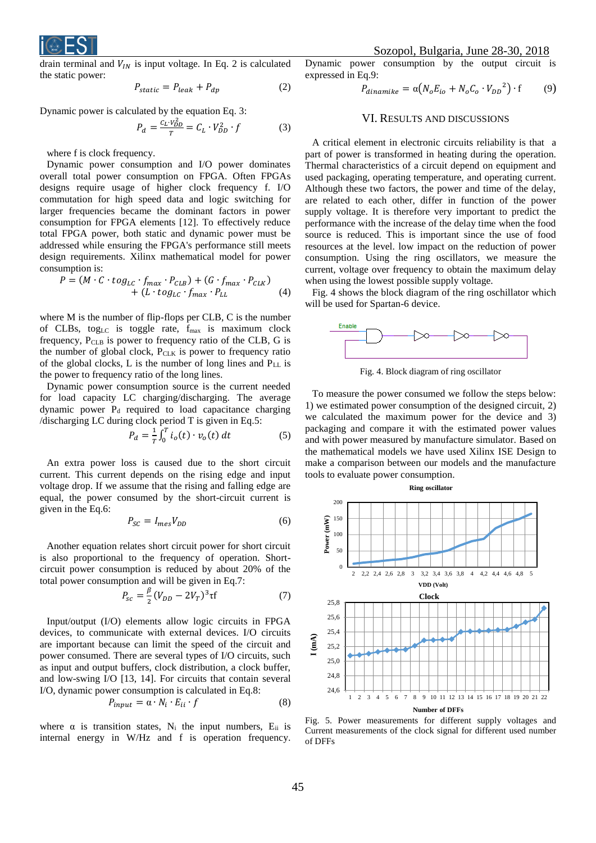

drain terminal and  $V_{IN}$  is input voltage. In Eq. 2 is calculated the static power:

$$
P_{static} = P_{leak} + P_{dp} \tag{2}
$$

Dynamic power is calculated by the equation Eq. 3:

$$
P_d = \frac{c_L v_{DD}^2}{T} = C_L \cdot V_{DD}^2 \cdot f \tag{3}
$$

where f is clock frequency.

Dynamic power consumption and I/O power dominates overall total power consumption on FPGA. Often FPGAs designs require usage of higher clock frequency f. I/O commutation for high speed data and logic switching for larger frequencies became the dominant factors in power consumption for FPGA elements [12]. To effectively reduce total FPGA power, both static and dynamic power must be addressed while ensuring the FPGA's performance still meets design requirements. Xilinx mathematical model for power consumption is:

$$
P = (M \cdot C \cdot tog_{LC} \cdot f_{max} \cdot P_{CLB}) + (G \cdot f_{max} \cdot P_{CLK}) + (L \cdot tog_{LC} \cdot f_{max} \cdot P_{LL})
$$
(4)

where M is the number of flip-flops per CLB, C is the number of CLBs, tog<sub>LC</sub> is toggle rate,  $f_{\text{max}}$  is maximum clock frequency, PCLB is power to frequency ratio of the CLB, G is the number of global clock,  $P_{CLK}$  is power to frequency ratio of the global clocks,  $L$  is the number of long lines and  $P_{LL}$  is the power to frequency ratio of the long lines.

Dynamic power consumption source is the current needed for load capacity LC charging/discharging. The average dynamic power  $P_d$  required to load capacitance charging /discharging LC during clock period T is given in Eq.5:

$$
P_d = \frac{1}{T} \int_0^T i_o(t) \cdot v_o(t) \, dt \tag{5}
$$

An extra power loss is caused due to the short circuit current. This current depends on the rising edge and input voltage drop. If we assume that the rising and falling edge are equal, the power consumed by the short-circuit current is given in the Eq.6:

$$
P_{SC} = I_{mes} V_{DD} \tag{6}
$$

Another equation relates short circuit power for short circuit is also proportional to the frequency of operation. Shortcircuit power consumption is reduced by about 20% of the total power consumption and will be given in Eq.7:

$$
P_{sc} = \frac{\beta}{2} (V_{DD} - 2V_T)^3 \tau f
$$
 (7)

Input/output (I/O) elements allow logic circuits in FPGA devices, to communicate with external devices. I/O circuits are important because can limit the speed of the circuit and power consumed. There are several types of I/O circuits, such as input and output buffers, clock distribution, a clock buffer, and low-swing I/O [13, 14]. For circuits that contain several I/O, dynamic power consumption is calculated in Eq.8:

$$
P_{input} = \alpha \cdot N_i \cdot E_{ii} \cdot f \tag{8}
$$

where  $\alpha$  is transition states, N<sub>i</sub> the input numbers, E<sub>ii</sub> is internal energy in W/Hz and f is operation frequency.

Dynamic power consumption by the output circuit is expressed in Eq.9:

$$
P_{dinamike} = \alpha (N_o E_{io} + N_o C_o \cdot V_{DD}^2) \cdot f \tag{9}
$$

## VI. RESULTS AND DISCUSSIONS

A critical element in electronic circuits reliability is that a part of power is transformed in heating during the operation. Thermal characteristics of a circuit depend on equipment and used packaging, operating temperature, and operating current. Although these two factors, the power and time of the delay, are related to each other, differ in function of the power supply voltage. It is therefore very important to predict the performance with the increase of the delay time when the food source is reduced. This is important since the use of food resources at the level. low impact on the reduction of power consumption. Using the ring oscillators, we measure the current, voltage over frequency to obtain the maximum delay when using the lowest possible supply voltage.

Fig. 4 shows the block diagram of the ring oschillator which will be used for Spartan-6 device.



Fig. 4. Block diagram of ring oscillator

To measure the power consumed we follow the steps below: 1) we estimated power consumption of the designed circuit, 2) we calculated the maximum power for the device and 3) packaging and compare it with the estimated power values and with power measured by manufacture simulator. Based on the mathematical models we have used Xilinx ISE Design to make a comparison between our models and the manufacture tools to evaluate power consumption.



Fig. 5. Power measurements for different supply voltages and Current measurements of the clock signal for different used number of DFFs